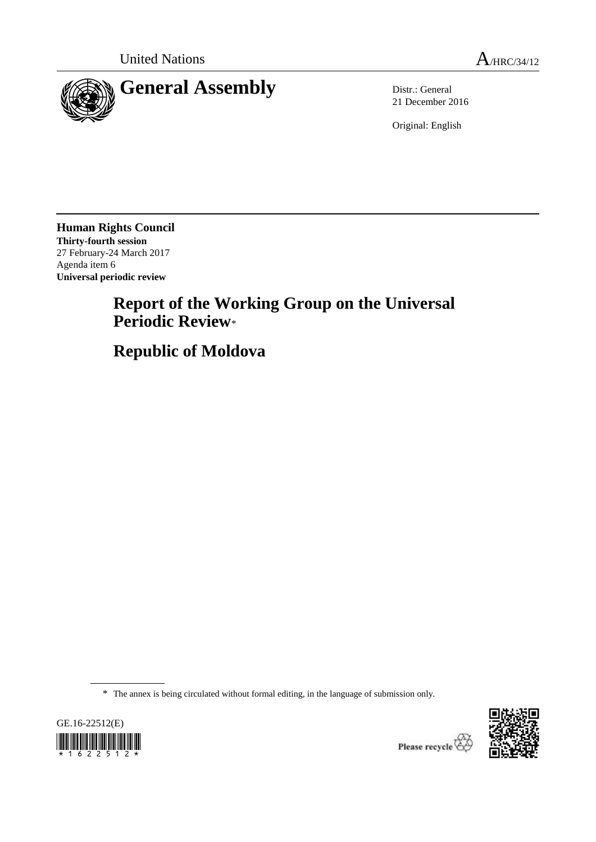

21 December 2016

Original: English

**Human Rights Council Thirty-fourth session** 27 February-24 March 2017 Agenda item 6 **Universal periodic review**

# **Report of the Working Group on the Universal Periodic Review**\*

**Republic of Moldova**

\* The annex is being circulated without formal editing, in the language of submission only.





Please recycle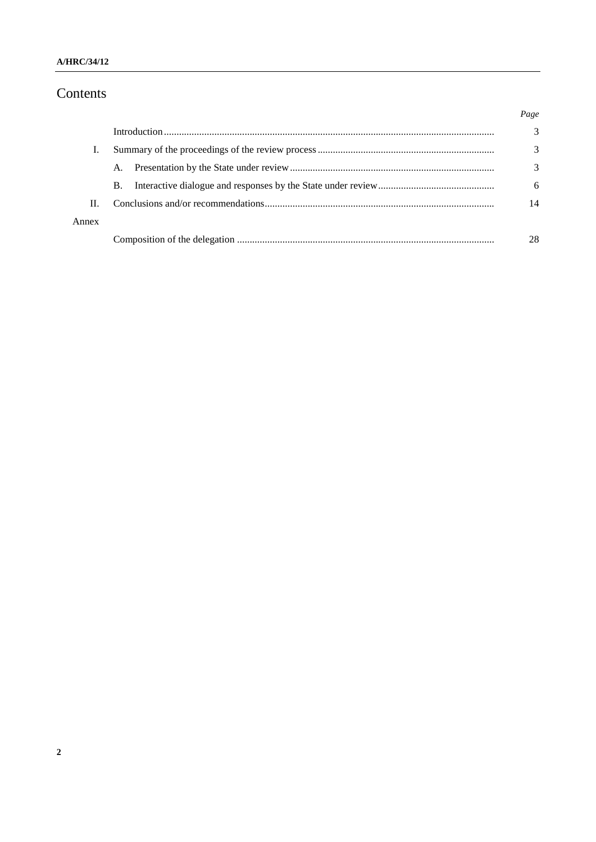# Contents

|       |           | Page |
|-------|-----------|------|
|       |           | 3    |
|       |           | 3    |
|       | A.        | 3    |
|       | <b>B.</b> | 6    |
| Π.    |           | 14   |
| Annex |           |      |
|       |           | 28   |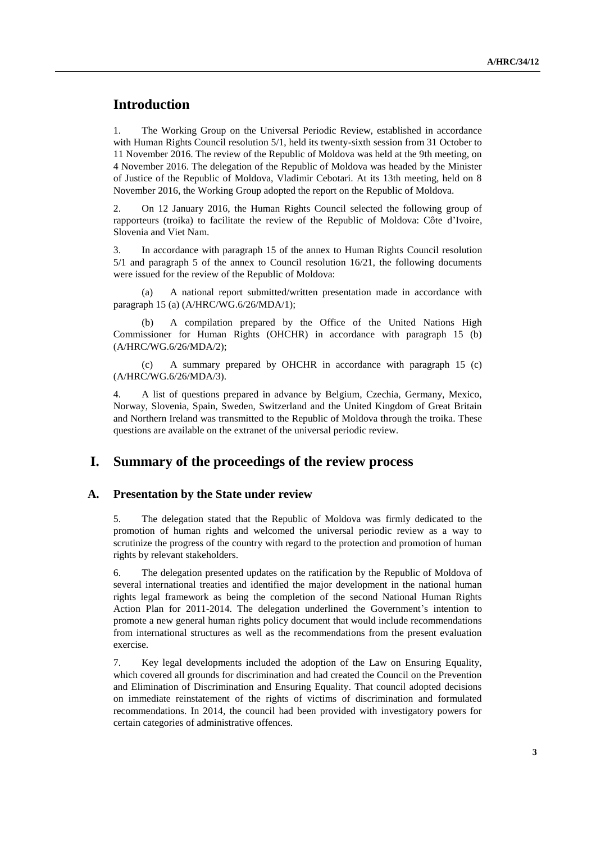# **Introduction**

1. The Working Group on the Universal Periodic Review, established in accordance with Human Rights Council resolution 5/1, held its twenty-sixth session from 31 October to 11 November 2016. The review of the Republic of Moldova was held at the 9th meeting, on 4 November 2016. The delegation of the Republic of Moldova was headed by the Minister of Justice of the Republic of Moldova, Vladimir Cebotari. At its 13th meeting, held on 8 November 2016, the Working Group adopted the report on the Republic of Moldova.

2. On 12 January 2016, the Human Rights Council selected the following group of rapporteurs (troika) to facilitate the review of the Republic of Moldova: Côte d'Ivoire, Slovenia and Viet Nam.

3. In accordance with paragraph 15 of the annex to Human Rights Council resolution 5/1 and paragraph 5 of the annex to Council resolution 16/21, the following documents were issued for the review of the Republic of Moldova:

(a) A national report submitted/written presentation made in accordance with paragraph 15 (a) (A/HRC/WG.6/26/MDA/1);

A compilation prepared by the Office of the United Nations High Commissioner for Human Rights (OHCHR) in accordance with paragraph 15 (b) (A/HRC/WG.6/26/MDA/2);

(c) A summary prepared by OHCHR in accordance with paragraph 15 (c) (A/HRC/WG.6/26/MDA/3).

4. A list of questions prepared in advance by Belgium, Czechia, Germany, Mexico, Norway, Slovenia, Spain, Sweden, Switzerland and the United Kingdom of Great Britain and Northern Ireland was transmitted to the Republic of Moldova through the troika. These questions are available on the extranet of the universal periodic review.

# **I. Summary of the proceedings of the review process**

#### **A. Presentation by the State under review**

5. The delegation stated that the Republic of Moldova was firmly dedicated to the promotion of human rights and welcomed the universal periodic review as a way to scrutinize the progress of the country with regard to the protection and promotion of human rights by relevant stakeholders.

6. The delegation presented updates on the ratification by the Republic of Moldova of several international treaties and identified the major development in the national human rights legal framework as being the completion of the second National Human Rights Action Plan for 2011-2014. The delegation underlined the Government's intention to promote a new general human rights policy document that would include recommendations from international structures as well as the recommendations from the present evaluation exercise.

7. Key legal developments included the adoption of the Law on Ensuring Equality, which covered all grounds for discrimination and had created the Council on the Prevention and Elimination of Discrimination and Ensuring Equality. That council adopted decisions on immediate reinstatement of the rights of victims of discrimination and formulated recommendations. In 2014, the council had been provided with investigatory powers for certain categories of administrative offences.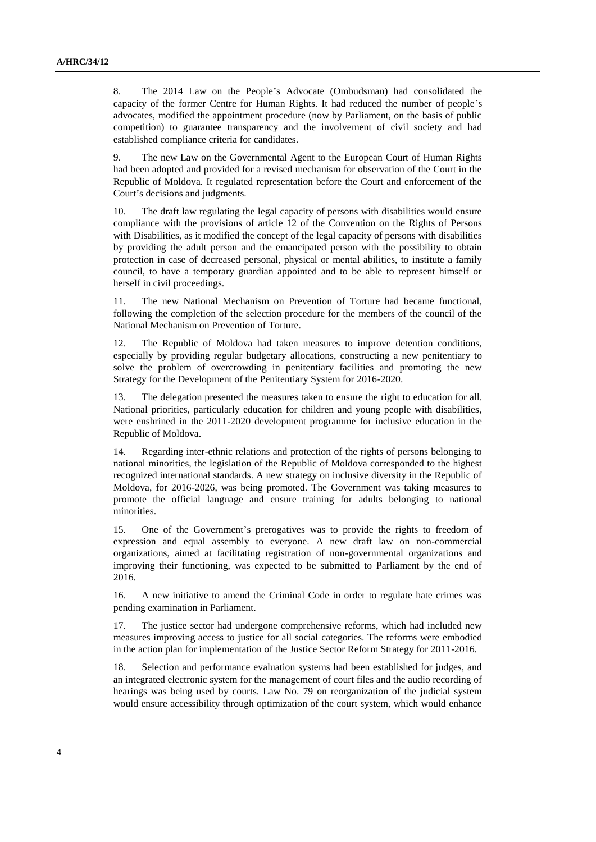8. The 2014 Law on the People's Advocate (Ombudsman) had consolidated the capacity of the former Centre for Human Rights. It had reduced the number of people's advocates, modified the appointment procedure (now by Parliament, on the basis of public competition) to guarantee transparency and the involvement of civil society and had established compliance criteria for candidates.

9. The new Law on the Governmental Agent to the European Court of Human Rights had been adopted and provided for a revised mechanism for observation of the Court in the Republic of Moldova. It regulated representation before the Court and enforcement of the Court's decisions and judgments.

10. The draft law regulating the legal capacity of persons with disabilities would ensure compliance with the provisions of article 12 of the Convention on the Rights of Persons with Disabilities, as it modified the concept of the legal capacity of persons with disabilities by providing the adult person and the emancipated person with the possibility to obtain protection in case of decreased personal, physical or mental abilities, to institute a family council, to have a temporary guardian appointed and to be able to represent himself or herself in civil proceedings.

11. The new National Mechanism on Prevention of Torture had became functional, following the completion of the selection procedure for the members of the council of the National Mechanism on Prevention of Torture.

12. The Republic of Moldova had taken measures to improve detention conditions, especially by providing regular budgetary allocations, constructing a new penitentiary to solve the problem of overcrowding in penitentiary facilities and promoting the new Strategy for the Development of the Penitentiary System for 2016-2020.

13. The delegation presented the measures taken to ensure the right to education for all. National priorities, particularly education for children and young people with disabilities, were enshrined in the 2011-2020 development programme for inclusive education in the Republic of Moldova.

14. Regarding inter-ethnic relations and protection of the rights of persons belonging to national minorities, the legislation of the Republic of Moldova corresponded to the highest recognized international standards. A new strategy on inclusive diversity in the Republic of Moldova, for 2016-2026, was being promoted. The Government was taking measures to promote the official language and ensure training for adults belonging to national minorities.

15. One of the Government's prerogatives was to provide the rights to freedom of expression and equal assembly to everyone. A new draft law on non-commercial organizations, aimed at facilitating registration of non-governmental organizations and improving their functioning, was expected to be submitted to Parliament by the end of 2016.

16. A new initiative to amend the Criminal Code in order to regulate hate crimes was pending examination in Parliament.

17. The justice sector had undergone comprehensive reforms, which had included new measures improving access to justice for all social categories. The reforms were embodied in the action plan for implementation of the Justice Sector Reform Strategy for 2011-2016.

18. Selection and performance evaluation systems had been established for judges, and an integrated electronic system for the management of court files and the audio recording of hearings was being used by courts. Law No. 79 on reorganization of the judicial system would ensure accessibility through optimization of the court system, which would enhance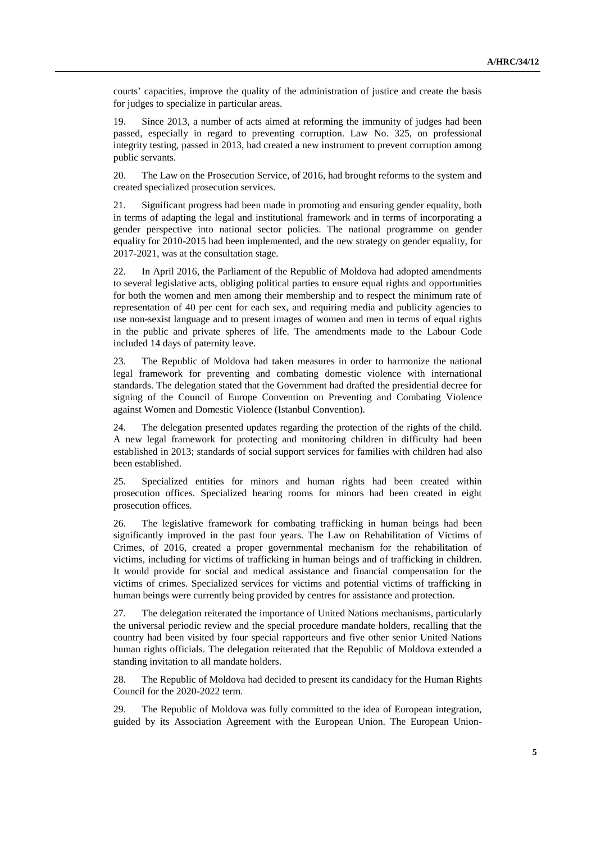courts' capacities, improve the quality of the administration of justice and create the basis for judges to specialize in particular areas.

19. Since 2013, a number of acts aimed at reforming the immunity of judges had been passed, especially in regard to preventing corruption. Law No. 325, on professional integrity testing, passed in 2013, had created a new instrument to prevent corruption among public servants.

20. The Law on the Prosecution Service, of 2016, had brought reforms to the system and created specialized prosecution services.

21. Significant progress had been made in promoting and ensuring gender equality, both in terms of adapting the legal and institutional framework and in terms of incorporating a gender perspective into national sector policies. The national programme on gender equality for 2010-2015 had been implemented, and the new strategy on gender equality, for 2017-2021, was at the consultation stage.

22. In April 2016, the Parliament of the Republic of Moldova had adopted amendments to several legislative acts, obliging political parties to ensure equal rights and opportunities for both the women and men among their membership and to respect the minimum rate of representation of 40 per cent for each sex, and requiring media and publicity agencies to use non-sexist language and to present images of women and men in terms of equal rights in the public and private spheres of life. The amendments made to the Labour Code included 14 days of paternity leave.

23. The Republic of Moldova had taken measures in order to harmonize the national legal framework for preventing and combating domestic violence with international standards. The delegation stated that the Government had drafted the presidential decree for signing of the Council of Europe Convention on Preventing and Combating Violence against Women and Domestic Violence (Istanbul Convention).

24. The delegation presented updates regarding the protection of the rights of the child. A new legal framework for protecting and monitoring children in difficulty had been established in 2013; standards of social support services for families with children had also been established.

25. Specialized entities for minors and human rights had been created within prosecution offices. Specialized hearing rooms for minors had been created in eight prosecution offices.

26. The legislative framework for combating trafficking in human beings had been significantly improved in the past four years. The Law on Rehabilitation of Victims of Crimes, of 2016, created a proper governmental mechanism for the rehabilitation of victims, including for victims of trafficking in human beings and of trafficking in children. It would provide for social and medical assistance and financial compensation for the victims of crimes. Specialized services for victims and potential victims of trafficking in human beings were currently being provided by centres for assistance and protection.

27. The delegation reiterated the importance of United Nations mechanisms, particularly the universal periodic review and the special procedure mandate holders, recalling that the country had been visited by four special rapporteurs and five other senior United Nations human rights officials. The delegation reiterated that the Republic of Moldova extended a standing invitation to all mandate holders.

28. The Republic of Moldova had decided to present its candidacy for the Human Rights Council for the 2020-2022 term.

29. The Republic of Moldova was fully committed to the idea of European integration, guided by its Association Agreement with the European Union. The European Union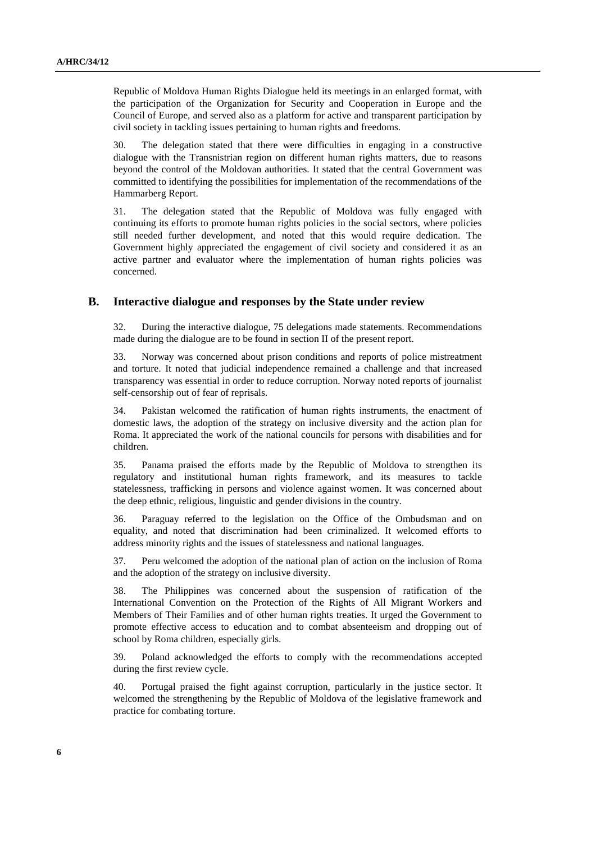Republic of Moldova Human Rights Dialogue held its meetings in an enlarged format, with the participation of the Organization for Security and Cooperation in Europe and the Council of Europe, and served also as a platform for active and transparent participation by civil society in tackling issues pertaining to human rights and freedoms.

30. The delegation stated that there were difficulties in engaging in a constructive dialogue with the Transnistrian region on different human rights matters, due to reasons beyond the control of the Moldovan authorities. It stated that the central Government was committed to identifying the possibilities for implementation of the recommendations of the Hammarberg Report.

31. The delegation stated that the Republic of Moldova was fully engaged with continuing its efforts to promote human rights policies in the social sectors, where policies still needed further development, and noted that this would require dedication. The Government highly appreciated the engagement of civil society and considered it as an active partner and evaluator where the implementation of human rights policies was concerned.

#### **B. Interactive dialogue and responses by the State under review**

32. During the interactive dialogue, 75 delegations made statements. Recommendations made during the dialogue are to be found in section II of the present report.

33. Norway was concerned about prison conditions and reports of police mistreatment and torture. It noted that judicial independence remained a challenge and that increased transparency was essential in order to reduce corruption. Norway noted reports of journalist self-censorship out of fear of reprisals.

34. Pakistan welcomed the ratification of human rights instruments, the enactment of domestic laws, the adoption of the strategy on inclusive diversity and the action plan for Roma. It appreciated the work of the national councils for persons with disabilities and for children.

35. Panama praised the efforts made by the Republic of Moldova to strengthen its regulatory and institutional human rights framework, and its measures to tackle statelessness, trafficking in persons and violence against women. It was concerned about the deep ethnic, religious, linguistic and gender divisions in the country.

36. Paraguay referred to the legislation on the Office of the Ombudsman and on equality, and noted that discrimination had been criminalized. It welcomed efforts to address minority rights and the issues of statelessness and national languages.

37. Peru welcomed the adoption of the national plan of action on the inclusion of Roma and the adoption of the strategy on inclusive diversity.

38. The Philippines was concerned about the suspension of ratification of the International Convention on the Protection of the Rights of All Migrant Workers and Members of Their Families and of other human rights treaties. It urged the Government to promote effective access to education and to combat absenteeism and dropping out of school by Roma children, especially girls.

39. Poland acknowledged the efforts to comply with the recommendations accepted during the first review cycle.

40. Portugal praised the fight against corruption, particularly in the justice sector. It welcomed the strengthening by the Republic of Moldova of the legislative framework and practice for combating torture.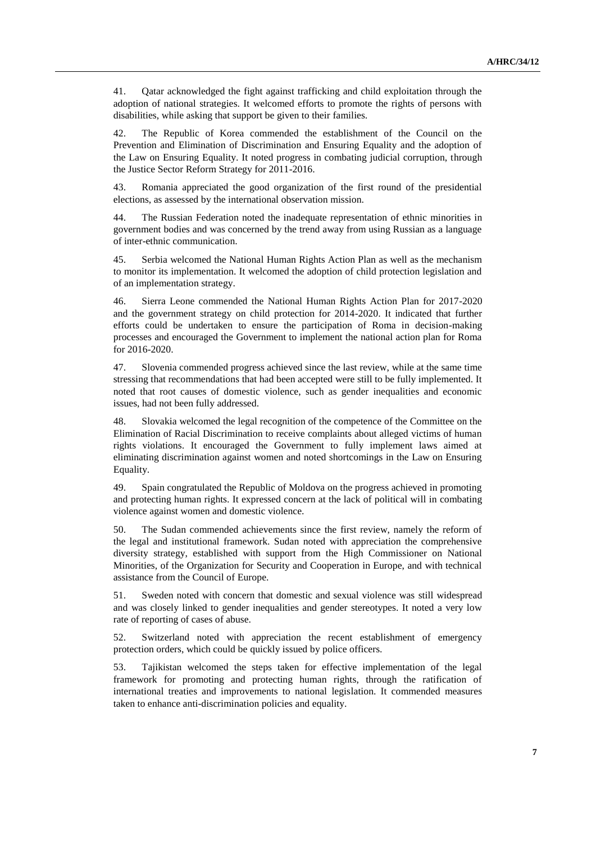41. Qatar acknowledged the fight against trafficking and child exploitation through the adoption of national strategies. It welcomed efforts to promote the rights of persons with disabilities, while asking that support be given to their families.

42. The Republic of Korea commended the establishment of the Council on the Prevention and Elimination of Discrimination and Ensuring Equality and the adoption of the Law on Ensuring Equality. It noted progress in combating judicial corruption, through the Justice Sector Reform Strategy for 2011-2016.

43. Romania appreciated the good organization of the first round of the presidential elections, as assessed by the international observation mission.

44. The Russian Federation noted the inadequate representation of ethnic minorities in government bodies and was concerned by the trend away from using Russian as a language of inter-ethnic communication.

45. Serbia welcomed the National Human Rights Action Plan as well as the mechanism to monitor its implementation. It welcomed the adoption of child protection legislation and of an implementation strategy.

46. Sierra Leone commended the National Human Rights Action Plan for 2017-2020 and the government strategy on child protection for 2014-2020. It indicated that further efforts could be undertaken to ensure the participation of Roma in decision-making processes and encouraged the Government to implement the national action plan for Roma for 2016-2020.

47. Slovenia commended progress achieved since the last review, while at the same time stressing that recommendations that had been accepted were still to be fully implemented. It noted that root causes of domestic violence, such as gender inequalities and economic issues, had not been fully addressed.

48. Slovakia welcomed the legal recognition of the competence of the Committee on the Elimination of Racial Discrimination to receive complaints about alleged victims of human rights violations. It encouraged the Government to fully implement laws aimed at eliminating discrimination against women and noted shortcomings in the Law on Ensuring Equality.

49. Spain congratulated the Republic of Moldova on the progress achieved in promoting and protecting human rights. It expressed concern at the lack of political will in combating violence against women and domestic violence.

50. The Sudan commended achievements since the first review, namely the reform of the legal and institutional framework. Sudan noted with appreciation the comprehensive diversity strategy, established with support from the High Commissioner on National Minorities, of the Organization for Security and Cooperation in Europe, and with technical assistance from the Council of Europe.

51. Sweden noted with concern that domestic and sexual violence was still widespread and was closely linked to gender inequalities and gender stereotypes. It noted a very low rate of reporting of cases of abuse.

52. Switzerland noted with appreciation the recent establishment of emergency protection orders, which could be quickly issued by police officers.

53. Tajikistan welcomed the steps taken for effective implementation of the legal framework for promoting and protecting human rights, through the ratification of international treaties and improvements to national legislation. It commended measures taken to enhance anti-discrimination policies and equality.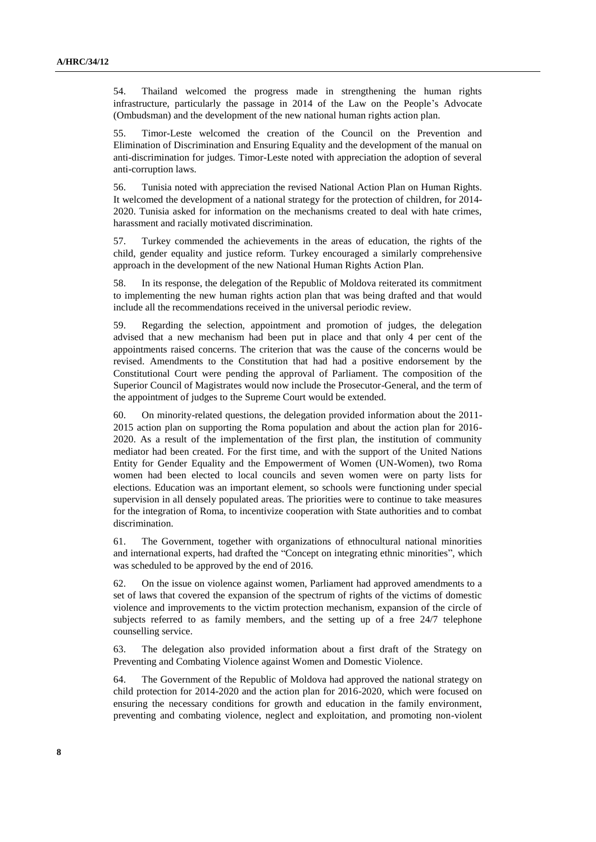54. Thailand welcomed the progress made in strengthening the human rights infrastructure, particularly the passage in 2014 of the Law on the People's Advocate (Ombudsman) and the development of the new national human rights action plan.

55. Timor-Leste welcomed the creation of the Council on the Prevention and Elimination of Discrimination and Ensuring Equality and the development of the manual on anti-discrimination for judges. Timor-Leste noted with appreciation the adoption of several anti-corruption laws.

56. Tunisia noted with appreciation the revised National Action Plan on Human Rights. It welcomed the development of a national strategy for the protection of children, for 2014- 2020. Tunisia asked for information on the mechanisms created to deal with hate crimes, harassment and racially motivated discrimination.

57. Turkey commended the achievements in the areas of education, the rights of the child, gender equality and justice reform. Turkey encouraged a similarly comprehensive approach in the development of the new National Human Rights Action Plan.

58. In its response, the delegation of the Republic of Moldova reiterated its commitment to implementing the new human rights action plan that was being drafted and that would include all the recommendations received in the universal periodic review.

59. Regarding the selection, appointment and promotion of judges, the delegation advised that a new mechanism had been put in place and that only 4 per cent of the appointments raised concerns. The criterion that was the cause of the concerns would be revised. Amendments to the Constitution that had had a positive endorsement by the Constitutional Court were pending the approval of Parliament. The composition of the Superior Council of Magistrates would now include the Prosecutor-General, and the term of the appointment of judges to the Supreme Court would be extended.

60. On minority-related questions, the delegation provided information about the 2011- 2015 action plan on supporting the Roma population and about the action plan for 2016- 2020. As a result of the implementation of the first plan, the institution of community mediator had been created. For the first time, and with the support of the United Nations Entity for Gender Equality and the Empowerment of Women (UN-Women), two Roma women had been elected to local councils and seven women were on party lists for elections. Education was an important element, so schools were functioning under special supervision in all densely populated areas. The priorities were to continue to take measures for the integration of Roma, to incentivize cooperation with State authorities and to combat discrimination.

61. The Government, together with organizations of ethnocultural national minorities and international experts, had drafted the "Concept on integrating ethnic minorities", which was scheduled to be approved by the end of 2016.

62. On the issue on violence against women, Parliament had approved amendments to a set of laws that covered the expansion of the spectrum of rights of the victims of domestic violence and improvements to the victim protection mechanism, expansion of the circle of subjects referred to as family members, and the setting up of a free 24/7 telephone counselling service.

63. The delegation also provided information about a first draft of the Strategy on Preventing and Combating Violence against Women and Domestic Violence.

64. The Government of the Republic of Moldova had approved the national strategy on child protection for 2014-2020 and the action plan for 2016-2020, which were focused on ensuring the necessary conditions for growth and education in the family environment, preventing and combating violence, neglect and exploitation, and promoting non-violent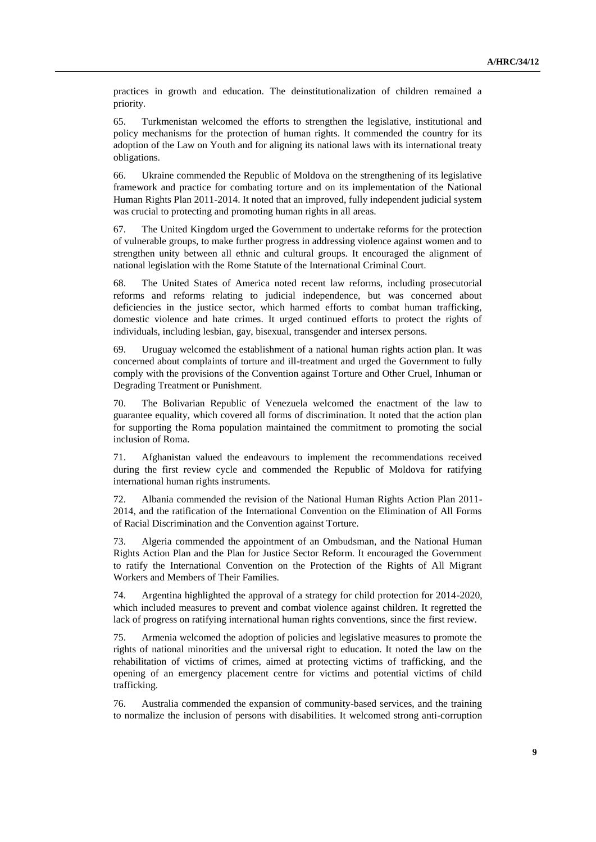practices in growth and education. The deinstitutionalization of children remained a priority.

65. Turkmenistan welcomed the efforts to strengthen the legislative, institutional and policy mechanisms for the protection of human rights. It commended the country for its adoption of the Law on Youth and for aligning its national laws with its international treaty obligations.

66. Ukraine commended the Republic of Moldova on the strengthening of its legislative framework and practice for combating torture and on its implementation of the National Human Rights Plan 2011-2014. It noted that an improved, fully independent judicial system was crucial to protecting and promoting human rights in all areas.

67. The United Kingdom urged the Government to undertake reforms for the protection of vulnerable groups, to make further progress in addressing violence against women and to strengthen unity between all ethnic and cultural groups. It encouraged the alignment of national legislation with the Rome Statute of the International Criminal Court.

68. The United States of America noted recent law reforms, including prosecutorial reforms and reforms relating to judicial independence, but was concerned about deficiencies in the justice sector, which harmed efforts to combat human trafficking, domestic violence and hate crimes. It urged continued efforts to protect the rights of individuals, including lesbian, gay, bisexual, transgender and intersex persons.

69. Uruguay welcomed the establishment of a national human rights action plan. It was concerned about complaints of torture and ill-treatment and urged the Government to fully comply with the provisions of the Convention against Torture and Other Cruel, Inhuman or Degrading Treatment or Punishment.

70. The Bolivarian Republic of Venezuela welcomed the enactment of the law to guarantee equality, which covered all forms of discrimination. It noted that the action plan for supporting the Roma population maintained the commitment to promoting the social inclusion of Roma.

71. Afghanistan valued the endeavours to implement the recommendations received during the first review cycle and commended the Republic of Moldova for ratifying international human rights instruments.

72. Albania commended the revision of the National Human Rights Action Plan 2011- 2014, and the ratification of the International Convention on the Elimination of All Forms of Racial Discrimination and the Convention against Torture.

73. Algeria commended the appointment of an Ombudsman, and the National Human Rights Action Plan and the Plan for Justice Sector Reform. It encouraged the Government to ratify the International Convention on the Protection of the Rights of All Migrant Workers and Members of Their Families.

74. Argentina highlighted the approval of a strategy for child protection for 2014-2020, which included measures to prevent and combat violence against children. It regretted the lack of progress on ratifying international human rights conventions, since the first review.

75. Armenia welcomed the adoption of policies and legislative measures to promote the rights of national minorities and the universal right to education. It noted the law on the rehabilitation of victims of crimes, aimed at protecting victims of trafficking, and the opening of an emergency placement centre for victims and potential victims of child trafficking.

76. Australia commended the expansion of community-based services, and the training to normalize the inclusion of persons with disabilities. It welcomed strong anti-corruption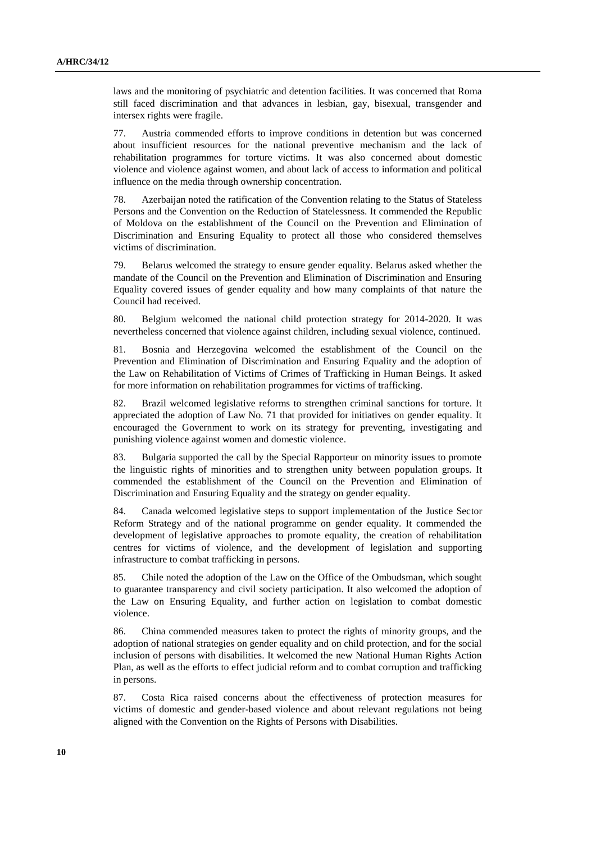laws and the monitoring of psychiatric and detention facilities. It was concerned that Roma still faced discrimination and that advances in lesbian, gay, bisexual, transgender and intersex rights were fragile.

77. Austria commended efforts to improve conditions in detention but was concerned about insufficient resources for the national preventive mechanism and the lack of rehabilitation programmes for torture victims. It was also concerned about domestic violence and violence against women, and about lack of access to information and political influence on the media through ownership concentration.

78. Azerbaijan noted the ratification of the Convention relating to the Status of Stateless Persons and the Convention on the Reduction of Statelessness. It commended the Republic of Moldova on the establishment of the Council on the Prevention and Elimination of Discrimination and Ensuring Equality to protect all those who considered themselves victims of discrimination.

79. Belarus welcomed the strategy to ensure gender equality. Belarus asked whether the mandate of the Council on the Prevention and Elimination of Discrimination and Ensuring Equality covered issues of gender equality and how many complaints of that nature the Council had received.

80. Belgium welcomed the national child protection strategy for 2014-2020. It was nevertheless concerned that violence against children, including sexual violence, continued.

81. Bosnia and Herzegovina welcomed the establishment of the Council on the Prevention and Elimination of Discrimination and Ensuring Equality and the adoption of the Law on Rehabilitation of Victims of Crimes of Trafficking in Human Beings. It asked for more information on rehabilitation programmes for victims of trafficking.

82. Brazil welcomed legislative reforms to strengthen criminal sanctions for torture. It appreciated the adoption of Law No. 71 that provided for initiatives on gender equality. It encouraged the Government to work on its strategy for preventing, investigating and punishing violence against women and domestic violence.

83. Bulgaria supported the call by the Special Rapporteur on minority issues to promote the linguistic rights of minorities and to strengthen unity between population groups. It commended the establishment of the Council on the Prevention and Elimination of Discrimination and Ensuring Equality and the strategy on gender equality.

84. Canada welcomed legislative steps to support implementation of the Justice Sector Reform Strategy and of the national programme on gender equality. It commended the development of legislative approaches to promote equality, the creation of rehabilitation centres for victims of violence, and the development of legislation and supporting infrastructure to combat trafficking in persons.

85. Chile noted the adoption of the Law on the Office of the Ombudsman, which sought to guarantee transparency and civil society participation. It also welcomed the adoption of the Law on Ensuring Equality, and further action on legislation to combat domestic violence.

86. China commended measures taken to protect the rights of minority groups, and the adoption of national strategies on gender equality and on child protection, and for the social inclusion of persons with disabilities. It welcomed the new National Human Rights Action Plan, as well as the efforts to effect judicial reform and to combat corruption and trafficking in persons.

87. Costa Rica raised concerns about the effectiveness of protection measures for victims of domestic and gender-based violence and about relevant regulations not being aligned with the Convention on the Rights of Persons with Disabilities.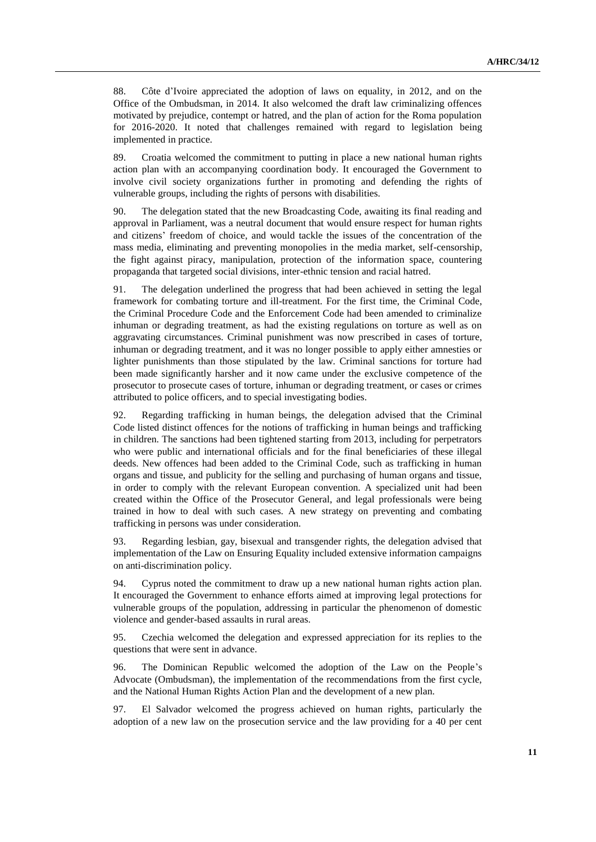88. Côte d'Ivoire appreciated the adoption of laws on equality, in 2012, and on the Office of the Ombudsman, in 2014. It also welcomed the draft law criminalizing offences motivated by prejudice, contempt or hatred, and the plan of action for the Roma population for 2016-2020. It noted that challenges remained with regard to legislation being implemented in practice.

89. Croatia welcomed the commitment to putting in place a new national human rights action plan with an accompanying coordination body. It encouraged the Government to involve civil society organizations further in promoting and defending the rights of vulnerable groups, including the rights of persons with disabilities.

90. The delegation stated that the new Broadcasting Code, awaiting its final reading and approval in Parliament, was a neutral document that would ensure respect for human rights and citizens' freedom of choice, and would tackle the issues of the concentration of the mass media, eliminating and preventing monopolies in the media market, self-censorship, the fight against piracy, manipulation, protection of the information space, countering propaganda that targeted social divisions, inter-ethnic tension and racial hatred.

91. The delegation underlined the progress that had been achieved in setting the legal framework for combating torture and ill-treatment. For the first time, the Criminal Code, the Criminal Procedure Code and the Enforcement Code had been amended to criminalize inhuman or degrading treatment, as had the existing regulations on torture as well as on aggravating circumstances. Criminal punishment was now prescribed in cases of torture, inhuman or degrading treatment, and it was no longer possible to apply either amnesties or lighter punishments than those stipulated by the law. Criminal sanctions for torture had been made significantly harsher and it now came under the exclusive competence of the prosecutor to prosecute cases of torture, inhuman or degrading treatment, or cases or crimes attributed to police officers, and to special investigating bodies.

92. Regarding trafficking in human beings, the delegation advised that the Criminal Code listed distinct offences for the notions of trafficking in human beings and trafficking in children. The sanctions had been tightened starting from 2013, including for perpetrators who were public and international officials and for the final beneficiaries of these illegal deeds. New offences had been added to the Criminal Code, such as trafficking in human organs and tissue, and publicity for the selling and purchasing of human organs and tissue, in order to comply with the relevant European convention. A specialized unit had been created within the Office of the Prosecutor General, and legal professionals were being trained in how to deal with such cases. A new strategy on preventing and combating trafficking in persons was under consideration.

93. Regarding lesbian, gay, bisexual and transgender rights, the delegation advised that implementation of the Law on Ensuring Equality included extensive information campaigns on anti-discrimination policy.

94. Cyprus noted the commitment to draw up a new national human rights action plan. It encouraged the Government to enhance efforts aimed at improving legal protections for vulnerable groups of the population, addressing in particular the phenomenon of domestic violence and gender-based assaults in rural areas.

95. Czechia welcomed the delegation and expressed appreciation for its replies to the questions that were sent in advance.

96. The Dominican Republic welcomed the adoption of the Law on the People's Advocate (Ombudsman), the implementation of the recommendations from the first cycle, and the National Human Rights Action Plan and the development of a new plan.

97. El Salvador welcomed the progress achieved on human rights, particularly the adoption of a new law on the prosecution service and the law providing for a 40 per cent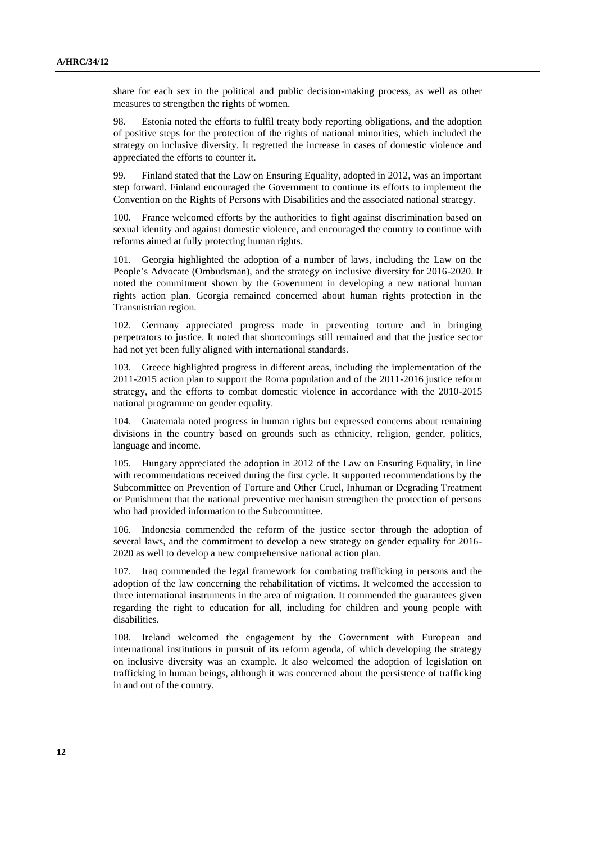share for each sex in the political and public decision-making process, as well as other measures to strengthen the rights of women.

98. Estonia noted the efforts to fulfil treaty body reporting obligations, and the adoption of positive steps for the protection of the rights of national minorities, which included the strategy on inclusive diversity. It regretted the increase in cases of domestic violence and appreciated the efforts to counter it.

99. Finland stated that the Law on Ensuring Equality, adopted in 2012, was an important step forward. Finland encouraged the Government to continue its efforts to implement the Convention on the Rights of Persons with Disabilities and the associated national strategy.

100. France welcomed efforts by the authorities to fight against discrimination based on sexual identity and against domestic violence, and encouraged the country to continue with reforms aimed at fully protecting human rights.

101. Georgia highlighted the adoption of a number of laws, including the Law on the People's Advocate (Ombudsman), and the strategy on inclusive diversity for 2016-2020. It noted the commitment shown by the Government in developing a new national human rights action plan. Georgia remained concerned about human rights protection in the Transnistrian region.

102. Germany appreciated progress made in preventing torture and in bringing perpetrators to justice. It noted that shortcomings still remained and that the justice sector had not yet been fully aligned with international standards.

103. Greece highlighted progress in different areas, including the implementation of the 2011-2015 action plan to support the Roma population and of the 2011-2016 justice reform strategy, and the efforts to combat domestic violence in accordance with the 2010-2015 national programme on gender equality.

104. Guatemala noted progress in human rights but expressed concerns about remaining divisions in the country based on grounds such as ethnicity, religion, gender, politics, language and income.

105. Hungary appreciated the adoption in 2012 of the Law on Ensuring Equality, in line with recommendations received during the first cycle. It supported recommendations by the Subcommittee on Prevention of Torture and Other Cruel, Inhuman or Degrading Treatment or Punishment that the national preventive mechanism strengthen the protection of persons who had provided information to the Subcommittee.

106. Indonesia commended the reform of the justice sector through the adoption of several laws, and the commitment to develop a new strategy on gender equality for 2016- 2020 as well to develop a new comprehensive national action plan.

107. Iraq commended the legal framework for combating trafficking in persons and the adoption of the law concerning the rehabilitation of victims. It welcomed the accession to three international instruments in the area of migration. It commended the guarantees given regarding the right to education for all, including for children and young people with disabilities.

108. Ireland welcomed the engagement by the Government with European and international institutions in pursuit of its reform agenda, of which developing the strategy on inclusive diversity was an example. It also welcomed the adoption of legislation on trafficking in human beings, although it was concerned about the persistence of trafficking in and out of the country.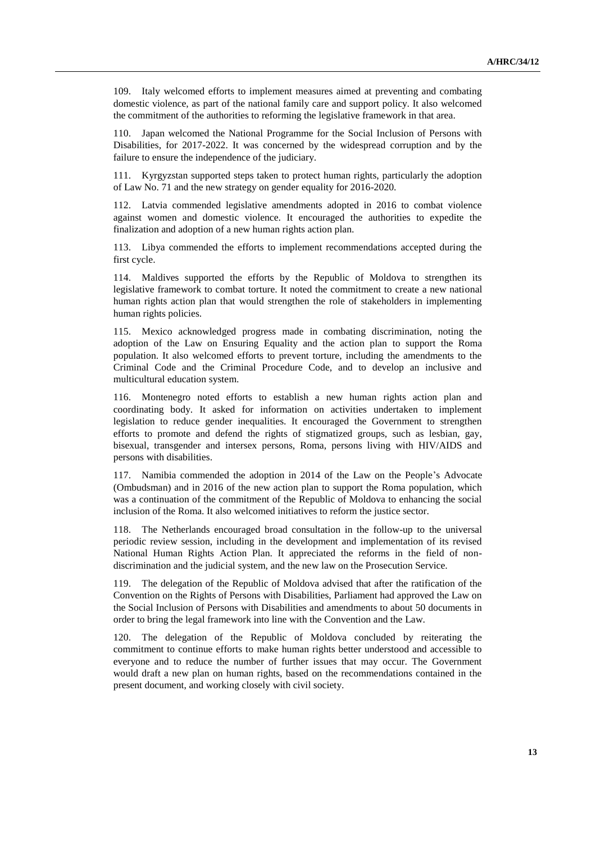109. Italy welcomed efforts to implement measures aimed at preventing and combating domestic violence, as part of the national family care and support policy. It also welcomed the commitment of the authorities to reforming the legislative framework in that area.

110. Japan welcomed the National Programme for the Social Inclusion of Persons with Disabilities, for 2017-2022. It was concerned by the widespread corruption and by the failure to ensure the independence of the judiciary.

111. Kyrgyzstan supported steps taken to protect human rights, particularly the adoption of Law No. 71 and the new strategy on gender equality for 2016-2020.

112. Latvia commended legislative amendments adopted in 2016 to combat violence against women and domestic violence. It encouraged the authorities to expedite the finalization and adoption of a new human rights action plan.

113. Libya commended the efforts to implement recommendations accepted during the first cycle.

114. Maldives supported the efforts by the Republic of Moldova to strengthen its legislative framework to combat torture. It noted the commitment to create a new national human rights action plan that would strengthen the role of stakeholders in implementing human rights policies.

115. Mexico acknowledged progress made in combating discrimination, noting the adoption of the Law on Ensuring Equality and the action plan to support the Roma population. It also welcomed efforts to prevent torture, including the amendments to the Criminal Code and the Criminal Procedure Code, and to develop an inclusive and multicultural education system.

116. Montenegro noted efforts to establish a new human rights action plan and coordinating body. It asked for information on activities undertaken to implement legislation to reduce gender inequalities. It encouraged the Government to strengthen efforts to promote and defend the rights of stigmatized groups, such as lesbian, gay, bisexual, transgender and intersex persons, Roma, persons living with HIV/AIDS and persons with disabilities.

117. Namibia commended the adoption in 2014 of the Law on the People's Advocate (Ombudsman) and in 2016 of the new action plan to support the Roma population, which was a continuation of the commitment of the Republic of Moldova to enhancing the social inclusion of the Roma. It also welcomed initiatives to reform the justice sector.

118. The Netherlands encouraged broad consultation in the follow-up to the universal periodic review session, including in the development and implementation of its revised National Human Rights Action Plan. It appreciated the reforms in the field of nondiscrimination and the judicial system, and the new law on the Prosecution Service.

119. The delegation of the Republic of Moldova advised that after the ratification of the Convention on the Rights of Persons with Disabilities, Parliament had approved the Law on the Social Inclusion of Persons with Disabilities and amendments to about 50 documents in order to bring the legal framework into line with the Convention and the Law.

120. The delegation of the Republic of Moldova concluded by reiterating the commitment to continue efforts to make human rights better understood and accessible to everyone and to reduce the number of further issues that may occur. The Government would draft a new plan on human rights, based on the recommendations contained in the present document, and working closely with civil society.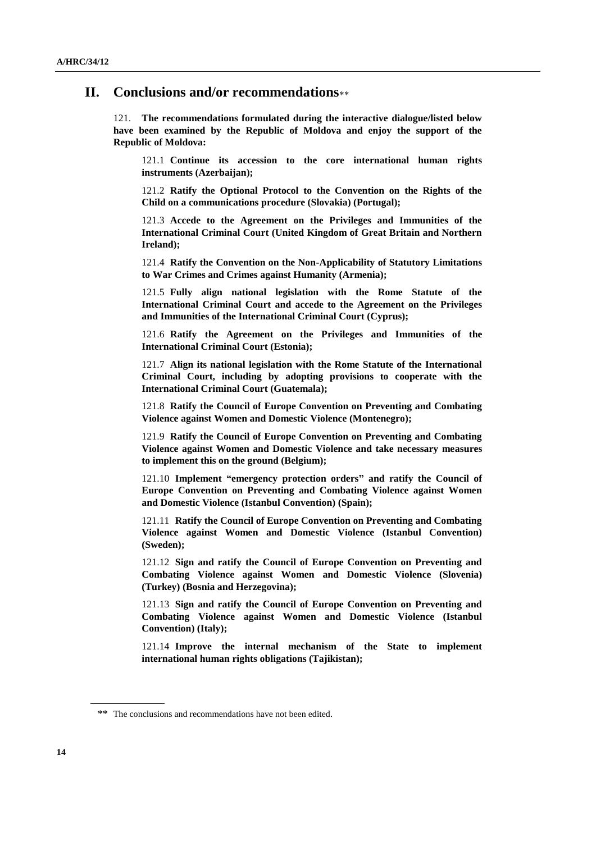### **II. Conclusions and/or recommendations**

121. **The recommendations formulated during the interactive dialogue/listed below have been examined by the Republic of Moldova and enjoy the support of the Republic of Moldova:**

121.1 **Continue its accession to the core international human rights instruments (Azerbaijan);**

121.2 **Ratify the Optional Protocol to the Convention on the Rights of the Child on a communications procedure (Slovakia) (Portugal);**

121.3 **Accede to the Agreement on the Privileges and Immunities of the International Criminal Court (United Kingdom of Great Britain and Northern Ireland);**

121.4 **Ratify the Convention on the Non-Applicability of Statutory Limitations to War Crimes and Crimes against Humanity (Armenia);**

121.5 **Fully align national legislation with the Rome Statute of the International Criminal Court and accede to the Agreement on the Privileges and Immunities of the International Criminal Court (Cyprus);**

121.6 **Ratify the Agreement on the Privileges and Immunities of the International Criminal Court (Estonia);**

121.7 **Align its national legislation with the Rome Statute of the International Criminal Court, including by adopting provisions to cooperate with the International Criminal Court (Guatemala);**

121.8 **Ratify the Council of Europe Convention on Preventing and Combating Violence against Women and Domestic Violence (Montenegro);**

121.9 **Ratify the Council of Europe Convention on Preventing and Combating Violence against Women and Domestic Violence and take necessary measures to implement this on the ground (Belgium);**

121.10 **Implement "emergency protection orders" and ratify the Council of Europe Convention on Preventing and Combating Violence against Women and Domestic Violence (Istanbul Convention) (Spain);**

121.11 **Ratify the Council of Europe Convention on Preventing and Combating Violence against Women and Domestic Violence (Istanbul Convention) (Sweden);**

121.12 **Sign and ratify the Council of Europe Convention on Preventing and Combating Violence against Women and Domestic Violence (Slovenia) (Turkey) (Bosnia and Herzegovina);**

121.13 **Sign and ratify the Council of Europe Convention on Preventing and Combating Violence against Women and Domestic Violence (Istanbul Convention) (Italy);**

121.14 **Improve the internal mechanism of the State to implement international human rights obligations (Tajikistan);**

<sup>\*\*</sup> The conclusions and recommendations have not been edited.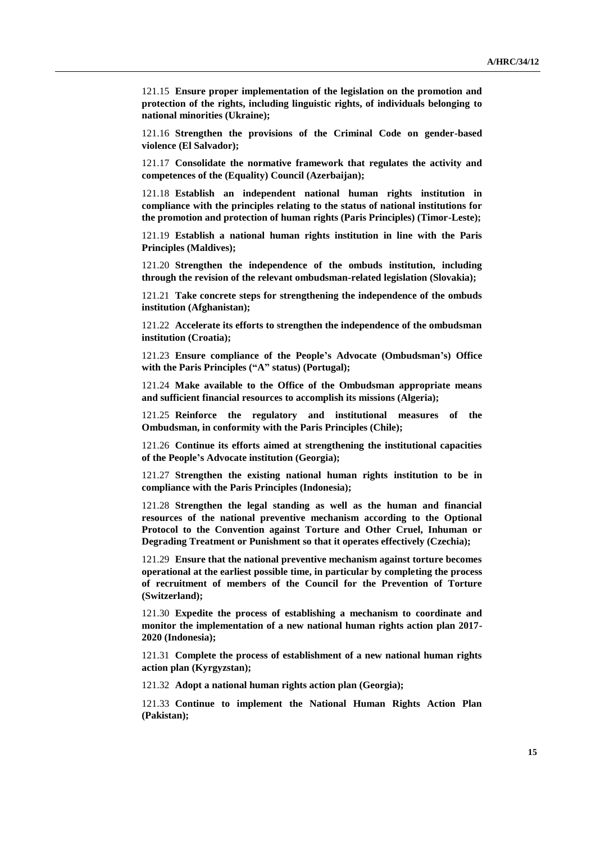121.15 **Ensure proper implementation of the legislation on the promotion and protection of the rights, including linguistic rights, of individuals belonging to national minorities (Ukraine);**

121.16 **Strengthen the provisions of the Criminal Code on gender-based violence (El Salvador);**

121.17 **Consolidate the normative framework that regulates the activity and competences of the (Equality) Council (Azerbaijan);**

121.18 **Establish an independent national human rights institution in compliance with the principles relating to the status of national institutions for the promotion and protection of human rights (Paris Principles) (Timor-Leste);**

121.19 **Establish a national human rights institution in line with the Paris Principles (Maldives);**

121.20 **Strengthen the independence of the ombuds institution, including through the revision of the relevant ombudsman-related legislation (Slovakia);**

121.21 **Take concrete steps for strengthening the independence of the ombuds institution (Afghanistan);**

121.22 **Accelerate its efforts to strengthen the independence of the ombudsman institution (Croatia);**

121.23 **Ensure compliance of the People's Advocate (Ombudsman's) Office with the Paris Principles ("A" status) (Portugal);**

121.24 **Make available to the Office of the Ombudsman appropriate means and sufficient financial resources to accomplish its missions (Algeria);**

121.25 **Reinforce the regulatory and institutional measures of the Ombudsman, in conformity with the Paris Principles (Chile);**

121.26 **Continue its efforts aimed at strengthening the institutional capacities of the People's Advocate institution (Georgia);**

121.27 **Strengthen the existing national human rights institution to be in compliance with the Paris Principles (Indonesia);**

121.28 **Strengthen the legal standing as well as the human and financial resources of the national preventive mechanism according to the Optional Protocol to the Convention against Torture and Other Cruel, Inhuman or Degrading Treatment or Punishment so that it operates effectively (Czechia);**

121.29 **Ensure that the national preventive mechanism against torture becomes operational at the earliest possible time, in particular by completing the process of recruitment of members of the Council for the Prevention of Torture (Switzerland);**

121.30 **Expedite the process of establishing a mechanism to coordinate and monitor the implementation of a new national human rights action plan 2017- 2020 (Indonesia);**

121.31 **Complete the process of establishment of a new national human rights action plan (Kyrgyzstan);**

121.32 **Adopt a national human rights action plan (Georgia);**

121.33 **Continue to implement the National Human Rights Action Plan (Pakistan);**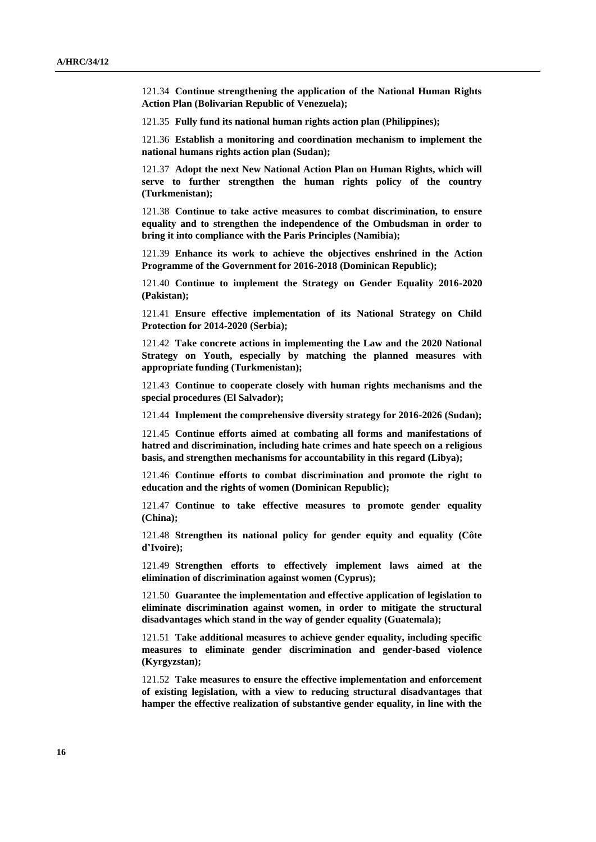121.34 **Continue strengthening the application of the National Human Rights Action Plan (Bolivarian Republic of Venezuela);**

121.35 **Fully fund its national human rights action plan (Philippines);**

121.36 **Establish a monitoring and coordination mechanism to implement the national humans rights action plan (Sudan);**

121.37 **Adopt the next New National Action Plan on Human Rights, which will serve to further strengthen the human rights policy of the country (Turkmenistan);**

121.38 **Continue to take active measures to combat discrimination, to ensure equality and to strengthen the independence of the Ombudsman in order to bring it into compliance with the Paris Principles (Namibia);**

121.39 **Enhance its work to achieve the objectives enshrined in the Action Programme of the Government for 2016-2018 (Dominican Republic);**

121.40 **Continue to implement the Strategy on Gender Equality 2016-2020 (Pakistan);**

121.41 **Ensure effective implementation of its National Strategy on Child Protection for 2014-2020 (Serbia);**

121.42 **Take concrete actions in implementing the Law and the 2020 National Strategy on Youth, especially by matching the planned measures with appropriate funding (Turkmenistan);**

121.43 **Continue to cooperate closely with human rights mechanisms and the special procedures (El Salvador);**

121.44 **Implement the comprehensive diversity strategy for 2016-2026 (Sudan);**

121.45 **Continue efforts aimed at combating all forms and manifestations of hatred and discrimination, including hate crimes and hate speech on a religious basis, and strengthen mechanisms for accountability in this regard (Libya);**

121.46 **Continue efforts to combat discrimination and promote the right to education and the rights of women (Dominican Republic);**

121.47 **Continue to take effective measures to promote gender equality (China);**

121.48 **Strengthen its national policy for gender equity and equality (Côte d'Ivoire);**

121.49 **Strengthen efforts to effectively implement laws aimed at the elimination of discrimination against women (Cyprus);**

121.50 **Guarantee the implementation and effective application of legislation to eliminate discrimination against women, in order to mitigate the structural disadvantages which stand in the way of gender equality (Guatemala);**

121.51 **Take additional measures to achieve gender equality, including specific measures to eliminate gender discrimination and gender-based violence (Kyrgyzstan);**

121.52 **Take measures to ensure the effective implementation and enforcement of existing legislation, with a view to reducing structural disadvantages that hamper the effective realization of substantive gender equality, in line with the**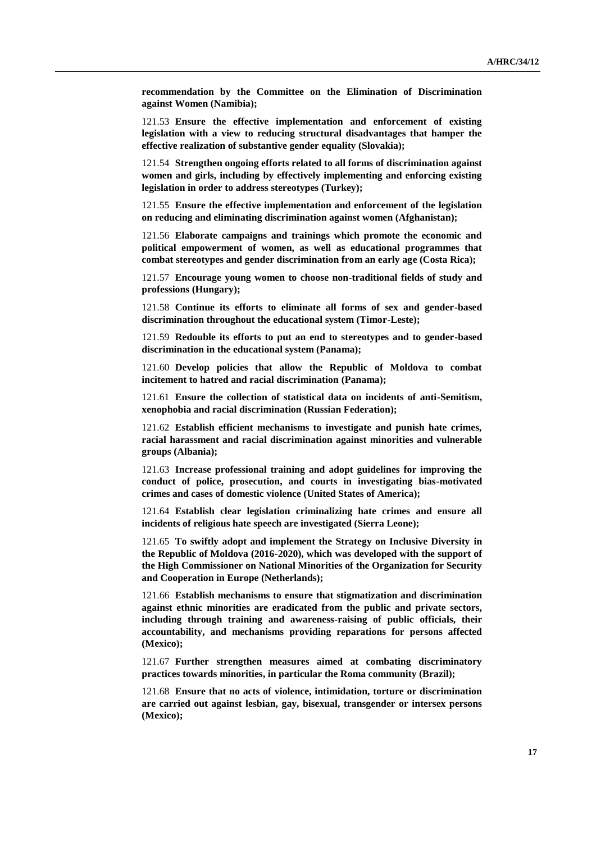**recommendation by the Committee on the Elimination of Discrimination against Women (Namibia);**

121.53 **Ensure the effective implementation and enforcement of existing legislation with a view to reducing structural disadvantages that hamper the effective realization of substantive gender equality (Slovakia);**

121.54 **Strengthen ongoing efforts related to all forms of discrimination against women and girls, including by effectively implementing and enforcing existing legislation in order to address stereotypes (Turkey);**

121.55 **Ensure the effective implementation and enforcement of the legislation on reducing and eliminating discrimination against women (Afghanistan);**

121.56 **Elaborate campaigns and trainings which promote the economic and political empowerment of women, as well as educational programmes that combat stereotypes and gender discrimination from an early age (Costa Rica);**

121.57 **Encourage young women to choose non-traditional fields of study and professions (Hungary);**

121.58 **Continue its efforts to eliminate all forms of sex and gender-based discrimination throughout the educational system (Timor-Leste);**

121.59 **Redouble its efforts to put an end to stereotypes and to gender-based discrimination in the educational system (Panama);**

121.60 **Develop policies that allow the Republic of Moldova to combat incitement to hatred and racial discrimination (Panama);**

121.61 **Ensure the collection of statistical data on incidents of anti-Semitism, xenophobia and racial discrimination (Russian Federation);**

121.62 **Establish efficient mechanisms to investigate and punish hate crimes, racial harassment and racial discrimination against minorities and vulnerable groups (Albania);**

121.63 **Increase professional training and adopt guidelines for improving the conduct of police, prosecution, and courts in investigating bias-motivated crimes and cases of domestic violence (United States of America);**

121.64 **Establish clear legislation criminalizing hate crimes and ensure all incidents of religious hate speech are investigated (Sierra Leone);**

121.65 **To swiftly adopt and implement the Strategy on Inclusive Diversity in the Republic of Moldova (2016-2020), which was developed with the support of the High Commissioner on National Minorities of the Organization for Security and Cooperation in Europe (Netherlands);**

121.66 **Establish mechanisms to ensure that stigmatization and discrimination against ethnic minorities are eradicated from the public and private sectors, including through training and awareness-raising of public officials, their accountability, and mechanisms providing reparations for persons affected (Mexico);**

121.67 **Further strengthen measures aimed at combating discriminatory practices towards minorities, in particular the Roma community (Brazil);**

121.68 **Ensure that no acts of violence, intimidation, torture or discrimination are carried out against lesbian, gay, bisexual, transgender or intersex persons (Mexico);**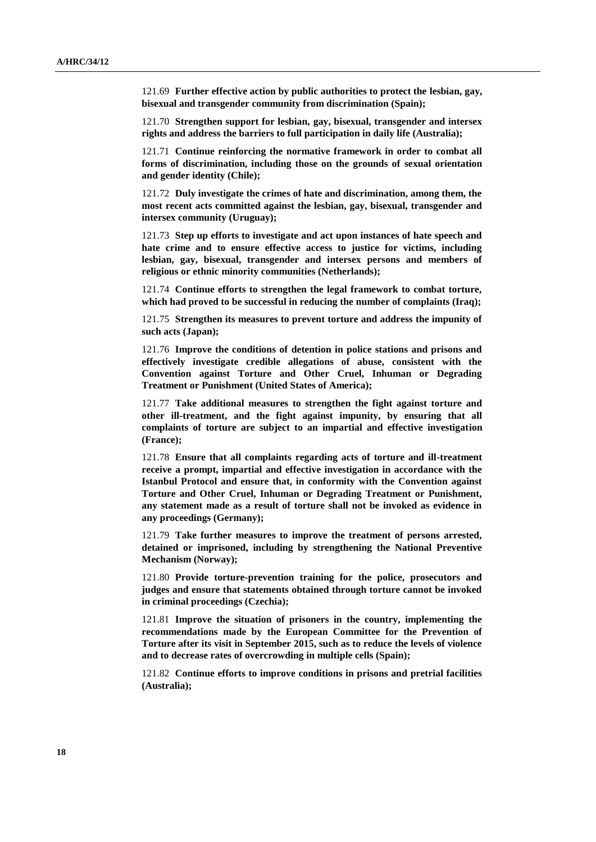121.69 **Further effective action by public authorities to protect the lesbian, gay, bisexual and transgender community from discrimination (Spain);**

121.70 **Strengthen support for lesbian, gay, bisexual, transgender and intersex rights and address the barriers to full participation in daily life (Australia);**

121.71 **Continue reinforcing the normative framework in order to combat all forms of discrimination, including those on the grounds of sexual orientation and gender identity (Chile);**

121.72 **Duly investigate the crimes of hate and discrimination, among them, the most recent acts committed against the lesbian, gay, bisexual, transgender and intersex community (Uruguay);**

121.73 **Step up efforts to investigate and act upon instances of hate speech and hate crime and to ensure effective access to justice for victims, including lesbian, gay, bisexual, transgender and intersex persons and members of religious or ethnic minority communities (Netherlands);**

121.74 **Continue efforts to strengthen the legal framework to combat torture, which had proved to be successful in reducing the number of complaints (Iraq);**

121.75 **Strengthen its measures to prevent torture and address the impunity of such acts (Japan);**

121.76 **Improve the conditions of detention in police stations and prisons and effectively investigate credible allegations of abuse, consistent with the Convention against Torture and Other Cruel, Inhuman or Degrading Treatment or Punishment (United States of America);**

121.77 **Take additional measures to strengthen the fight against torture and other ill-treatment, and the fight against impunity, by ensuring that all complaints of torture are subject to an impartial and effective investigation (France);**

121.78 **Ensure that all complaints regarding acts of torture and ill-treatment receive a prompt, impartial and effective investigation in accordance with the Istanbul Protocol and ensure that, in conformity with the Convention against Torture and Other Cruel, Inhuman or Degrading Treatment or Punishment, any statement made as a result of torture shall not be invoked as evidence in any proceedings (Germany);**

121.79 **Take further measures to improve the treatment of persons arrested, detained or imprisoned, including by strengthening the National Preventive Mechanism (Norway);**

121.80 **Provide torture-prevention training for the police, prosecutors and judges and ensure that statements obtained through torture cannot be invoked in criminal proceedings (Czechia);**

121.81 **Improve the situation of prisoners in the country, implementing the recommendations made by the European Committee for the Prevention of Torture after its visit in September 2015, such as to reduce the levels of violence and to decrease rates of overcrowding in multiple cells (Spain);**

121.82 **Continue efforts to improve conditions in prisons and pretrial facilities (Australia);**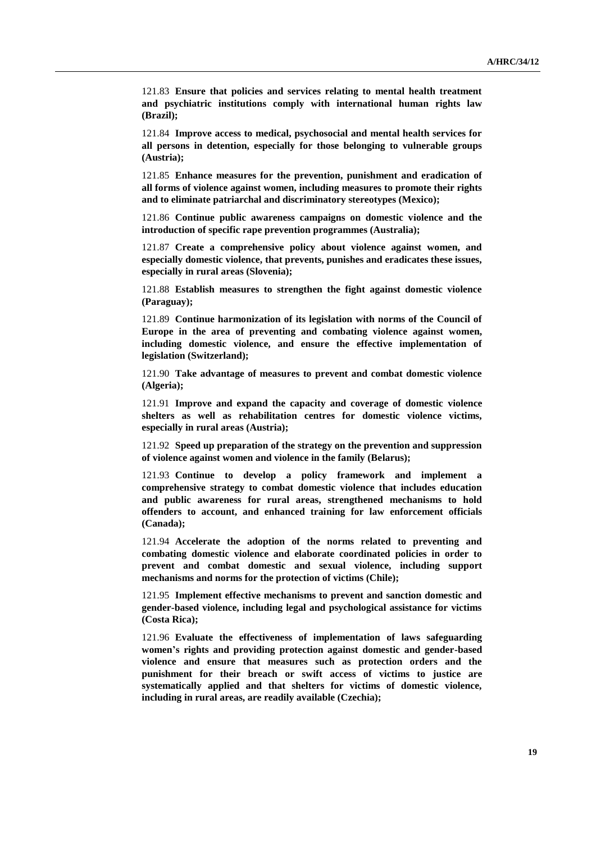121.83 **Ensure that policies and services relating to mental health treatment and psychiatric institutions comply with international human rights law (Brazil);**

121.84 **Improve access to medical, psychosocial and mental health services for all persons in detention, especially for those belonging to vulnerable groups (Austria);**

121.85 **Enhance measures for the prevention, punishment and eradication of all forms of violence against women, including measures to promote their rights and to eliminate patriarchal and discriminatory stereotypes (Mexico);**

121.86 **Continue public awareness campaigns on domestic violence and the introduction of specific rape prevention programmes (Australia);**

121.87 **Create a comprehensive policy about violence against women, and especially domestic violence, that prevents, punishes and eradicates these issues, especially in rural areas (Slovenia);**

121.88 **Establish measures to strengthen the fight against domestic violence (Paraguay);**

121.89 **Continue harmonization of its legislation with norms of the Council of Europe in the area of preventing and combating violence against women, including domestic violence, and ensure the effective implementation of legislation (Switzerland);**

121.90 **Take advantage of measures to prevent and combat domestic violence (Algeria);**

121.91 **Improve and expand the capacity and coverage of domestic violence shelters as well as rehabilitation centres for domestic violence victims, especially in rural areas (Austria);**

121.92 **Speed up preparation of the strategy on the prevention and suppression of violence against women and violence in the family (Belarus);**

121.93 **Continue to develop a policy framework and implement a comprehensive strategy to combat domestic violence that includes education and public awareness for rural areas, strengthened mechanisms to hold offenders to account, and enhanced training for law enforcement officials (Canada);** 

121.94 **Accelerate the adoption of the norms related to preventing and combating domestic violence and elaborate coordinated policies in order to prevent and combat domestic and sexual violence, including support mechanisms and norms for the protection of victims (Chile);**

121.95 **Implement effective mechanisms to prevent and sanction domestic and gender-based violence, including legal and psychological assistance for victims (Costa Rica);**

121.96 **Evaluate the effectiveness of implementation of laws safeguarding women's rights and providing protection against domestic and gender-based violence and ensure that measures such as protection orders and the punishment for their breach or swift access of victims to justice are systematically applied and that shelters for victims of domestic violence, including in rural areas, are readily available (Czechia);**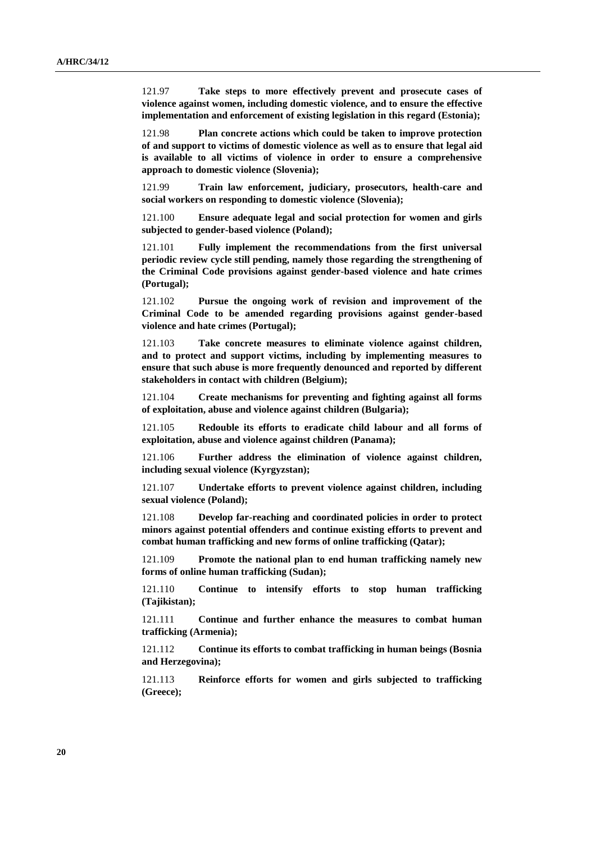121.97 **Take steps to more effectively prevent and prosecute cases of violence against women, including domestic violence, and to ensure the effective implementation and enforcement of existing legislation in this regard (Estonia);**

121.98 **Plan concrete actions which could be taken to improve protection of and support to victims of domestic violence as well as to ensure that legal aid is available to all victims of violence in order to ensure a comprehensive approach to domestic violence (Slovenia);**

121.99 **Train law enforcement, judiciary, prosecutors, health-care and social workers on responding to domestic violence (Slovenia);**

121.100 **Ensure adequate legal and social protection for women and girls subjected to gender-based violence (Poland);**

121.101 **Fully implement the recommendations from the first universal periodic review cycle still pending, namely those regarding the strengthening of the Criminal Code provisions against gender-based violence and hate crimes (Portugal);**

121.102 **Pursue the ongoing work of revision and improvement of the Criminal Code to be amended regarding provisions against gender-based violence and hate crimes (Portugal);**

121.103 **Take concrete measures to eliminate violence against children, and to protect and support victims, including by implementing measures to ensure that such abuse is more frequently denounced and reported by different stakeholders in contact with children (Belgium);**

121.104 **Create mechanisms for preventing and fighting against all forms of exploitation, abuse and violence against children (Bulgaria);**

121.105 **Redouble its efforts to eradicate child labour and all forms of exploitation, abuse and violence against children (Panama);**

121.106 **Further address the elimination of violence against children, including sexual violence (Kyrgyzstan);**

121.107 **Undertake efforts to prevent violence against children, including sexual violence (Poland);**

121.108 **Develop far-reaching and coordinated policies in order to protect minors against potential offenders and continue existing efforts to prevent and combat human trafficking and new forms of online trafficking (Qatar);**

121.109 **Promote the national plan to end human trafficking namely new forms of online human trafficking (Sudan);**

121.110 **Continue to intensify efforts to stop human trafficking (Tajikistan);**

121.111 **Continue and further enhance the measures to combat human trafficking (Armenia);**

121.112 **Continue its efforts to combat trafficking in human beings (Bosnia and Herzegovina);**

121.113 **Reinforce efforts for women and girls subjected to trafficking (Greece);**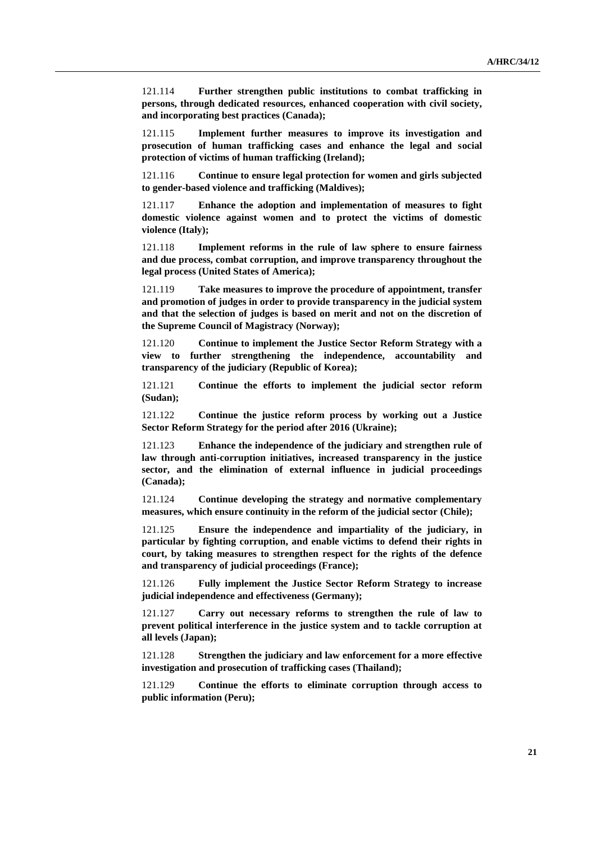121.114 **Further strengthen public institutions to combat trafficking in persons, through dedicated resources, enhanced cooperation with civil society, and incorporating best practices (Canada);**

121.115 **Implement further measures to improve its investigation and prosecution of human trafficking cases and enhance the legal and social protection of victims of human trafficking (Ireland);**

121.116 **Continue to ensure legal protection for women and girls subjected to gender-based violence and trafficking (Maldives);**

121.117 **Enhance the adoption and implementation of measures to fight domestic violence against women and to protect the victims of domestic violence (Italy);**

121.118 **Implement reforms in the rule of law sphere to ensure fairness and due process, combat corruption, and improve transparency throughout the legal process (United States of America);**

121.119 **Take measures to improve the procedure of appointment, transfer and promotion of judges in order to provide transparency in the judicial system and that the selection of judges is based on merit and not on the discretion of the Supreme Council of Magistracy (Norway);**

121.120 **Continue to implement the Justice Sector Reform Strategy with a view to further strengthening the independence, accountability and transparency of the judiciary (Republic of Korea);**

121.121 **Continue the efforts to implement the judicial sector reform (Sudan);**

121.122 **Continue the justice reform process by working out a Justice Sector Reform Strategy for the period after 2016 (Ukraine);**

121.123 **Enhance the independence of the judiciary and strengthen rule of law through anti-corruption initiatives, increased transparency in the justice sector, and the elimination of external influence in judicial proceedings (Canada);**

121.124 **Continue developing the strategy and normative complementary measures, which ensure continuity in the reform of the judicial sector (Chile);**

121.125 **Ensure the independence and impartiality of the judiciary, in particular by fighting corruption, and enable victims to defend their rights in court, by taking measures to strengthen respect for the rights of the defence and transparency of judicial proceedings (France);**

121.126 **Fully implement the Justice Sector Reform Strategy to increase judicial independence and effectiveness (Germany);**

121.127 **Carry out necessary reforms to strengthen the rule of law to prevent political interference in the justice system and to tackle corruption at all levels (Japan);**

121.128 **Strengthen the judiciary and law enforcement for a more effective investigation and prosecution of trafficking cases (Thailand);**

121.129 **Continue the efforts to eliminate corruption through access to public information (Peru);**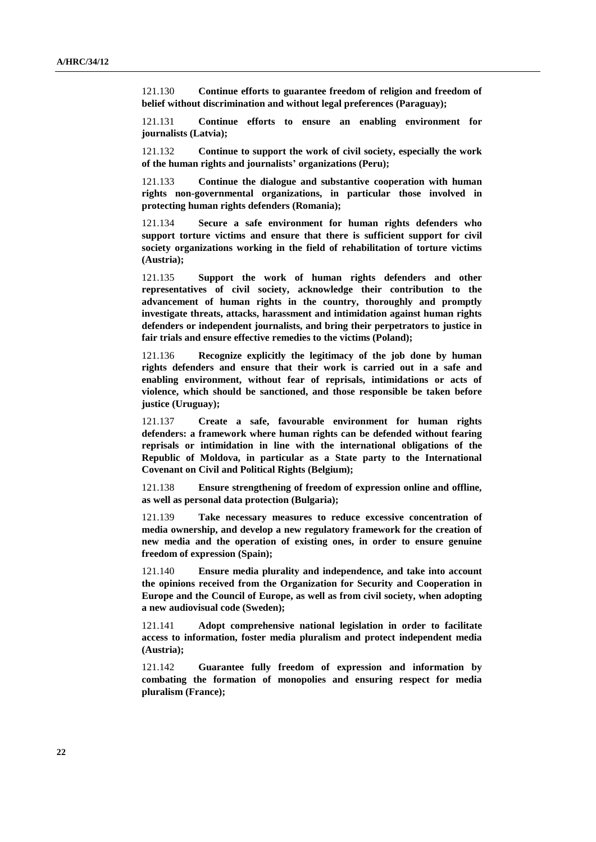121.130 **Continue efforts to guarantee freedom of religion and freedom of belief without discrimination and without legal preferences (Paraguay);**

121.131 **Continue efforts to ensure an enabling environment for journalists (Latvia);**

121.132 **Continue to support the work of civil society, especially the work of the human rights and journalists' organizations (Peru);**

121.133 **Continue the dialogue and substantive cooperation with human rights non-governmental organizations, in particular those involved in protecting human rights defenders (Romania);**

121.134 **Secure a safe environment for human rights defenders who support torture victims and ensure that there is sufficient support for civil society organizations working in the field of rehabilitation of torture victims (Austria);**

121.135 **Support the work of human rights defenders and other representatives of civil society, acknowledge their contribution to the advancement of human rights in the country, thoroughly and promptly investigate threats, attacks, harassment and intimidation against human rights defenders or independent journalists, and bring their perpetrators to justice in fair trials and ensure effective remedies to the victims (Poland);**

121.136 **Recognize explicitly the legitimacy of the job done by human rights defenders and ensure that their work is carried out in a safe and enabling environment, without fear of reprisals, intimidations or acts of violence, which should be sanctioned, and those responsible be taken before justice (Uruguay);**

121.137 **Create a safe, favourable environment for human rights defenders: a framework where human rights can be defended without fearing reprisals or intimidation in line with the international obligations of the Republic of Moldova, in particular as a State party to the International Covenant on Civil and Political Rights (Belgium);**

121.138 **Ensure strengthening of freedom of expression online and offline, as well as personal data protection (Bulgaria);**

121.139 **Take necessary measures to reduce excessive concentration of media ownership, and develop a new regulatory framework for the creation of new media and the operation of existing ones, in order to ensure genuine freedom of expression (Spain);**

121.140 **Ensure media plurality and independence, and take into account the opinions received from the Organization for Security and Cooperation in Europe and the Council of Europe, as well as from civil society, when adopting a new audiovisual code (Sweden);**

121.141 **Adopt comprehensive national legislation in order to facilitate access to information, foster media pluralism and protect independent media (Austria);**

121.142 **Guarantee fully freedom of expression and information by combating the formation of monopolies and ensuring respect for media pluralism (France);**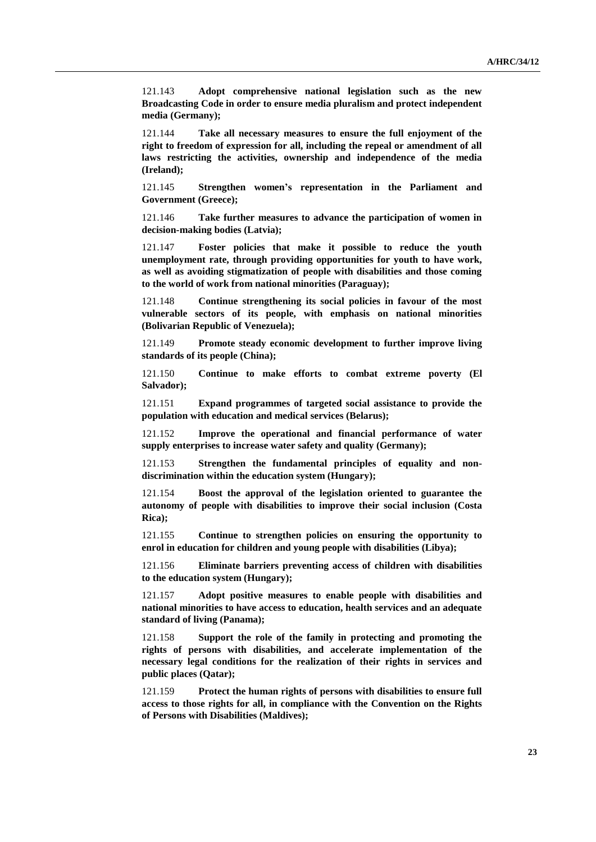121.143 **Adopt comprehensive national legislation such as the new Broadcasting Code in order to ensure media pluralism and protect independent media (Germany);**

121.144 **Take all necessary measures to ensure the full enjoyment of the right to freedom of expression for all, including the repeal or amendment of all laws restricting the activities, ownership and independence of the media (Ireland);**

121.145 **Strengthen women's representation in the Parliament and Government (Greece);**

121.146 **Take further measures to advance the participation of women in decision-making bodies (Latvia);**

121.147 **Foster policies that make it possible to reduce the youth unemployment rate, through providing opportunities for youth to have work, as well as avoiding stigmatization of people with disabilities and those coming to the world of work from national minorities (Paraguay);**

121.148 **Continue strengthening its social policies in favour of the most vulnerable sectors of its people, with emphasis on national minorities (Bolivarian Republic of Venezuela);**

121.149 **Promote steady economic development to further improve living standards of its people (China);**

121.150 **Continue to make efforts to combat extreme poverty (El Salvador);**

121.151 **Expand programmes of targeted social assistance to provide the population with education and medical services (Belarus);**

121.152 **Improve the operational and financial performance of water supply enterprises to increase water safety and quality (Germany);**

121.153 **Strengthen the fundamental principles of equality and nondiscrimination within the education system (Hungary);**

121.154 **Boost the approval of the legislation oriented to guarantee the autonomy of people with disabilities to improve their social inclusion (Costa Rica);**

121.155 **Continue to strengthen policies on ensuring the opportunity to enrol in education for children and young people with disabilities (Libya);**

121.156 **Eliminate barriers preventing access of children with disabilities to the education system (Hungary);**

121.157 **Adopt positive measures to enable people with disabilities and national minorities to have access to education, health services and an adequate standard of living (Panama);**

121.158 **Support the role of the family in protecting and promoting the rights of persons with disabilities, and accelerate implementation of the necessary legal conditions for the realization of their rights in services and public places (Qatar);**

121.159 **Protect the human rights of persons with disabilities to ensure full access to those rights for all, in compliance with the Convention on the Rights of Persons with Disabilities (Maldives);**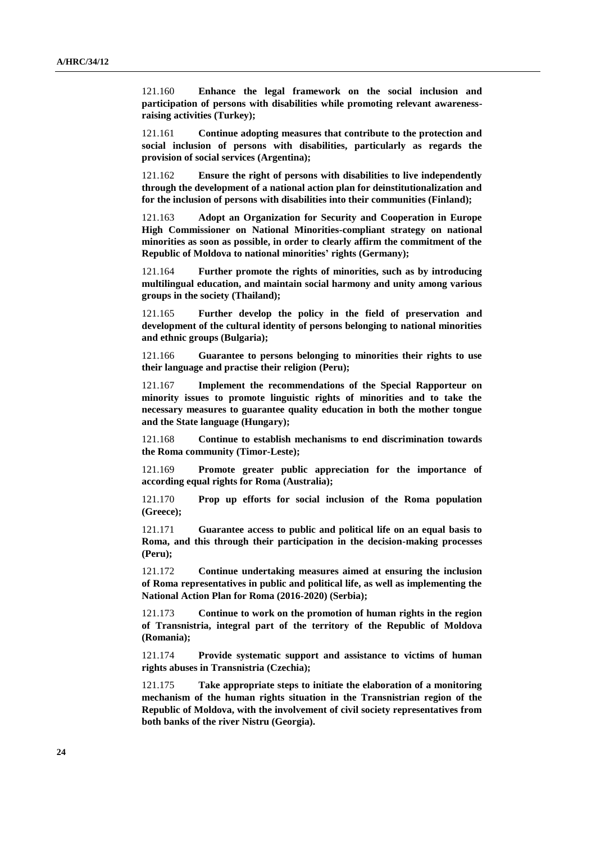121.160 **Enhance the legal framework on the social inclusion and participation of persons with disabilities while promoting relevant awarenessraising activities (Turkey);**

121.161 **Continue adopting measures that contribute to the protection and social inclusion of persons with disabilities, particularly as regards the provision of social services (Argentina);**

121.162 **Ensure the right of persons with disabilities to live independently through the development of a national action plan for deinstitutionalization and for the inclusion of persons with disabilities into their communities (Finland);**

121.163 **Adopt an Organization for Security and Cooperation in Europe High Commissioner on National Minorities-compliant strategy on national minorities as soon as possible, in order to clearly affirm the commitment of the Republic of Moldova to national minorities' rights (Germany);**

121.164 **Further promote the rights of minorities, such as by introducing multilingual education, and maintain social harmony and unity among various groups in the society (Thailand);**

121.165 **Further develop the policy in the field of preservation and development of the cultural identity of persons belonging to national minorities and ethnic groups (Bulgaria);**

121.166 **Guarantee to persons belonging to minorities their rights to use their language and practise their religion (Peru);**

121.167 **Implement the recommendations of the Special Rapporteur on minority issues to promote linguistic rights of minorities and to take the necessary measures to guarantee quality education in both the mother tongue and the State language (Hungary);**

121.168 **Continue to establish mechanisms to end discrimination towards the Roma community (Timor-Leste);**

121.169 **Promote greater public appreciation for the importance of according equal rights for Roma (Australia);**

121.170 **Prop up efforts for social inclusion of the Roma population (Greece);**

121.171 **Guarantee access to public and political life on an equal basis to Roma, and this through their participation in the decision-making processes (Peru);**

121.172 **Continue undertaking measures aimed at ensuring the inclusion of Roma representatives in public and political life, as well as implementing the National Action Plan for Roma (2016-2020) (Serbia);**

121.173 **Continue to work on the promotion of human rights in the region of Transnistria, integral part of the territory of the Republic of Moldova (Romania);**

121.174 **Provide systematic support and assistance to victims of human rights abuses in Transnistria (Czechia);**

121.175 **Take appropriate steps to initiate the elaboration of a monitoring mechanism of the human rights situation in the Transnistrian region of the Republic of Moldova, with the involvement of civil society representatives from both banks of the river Nistru (Georgia).**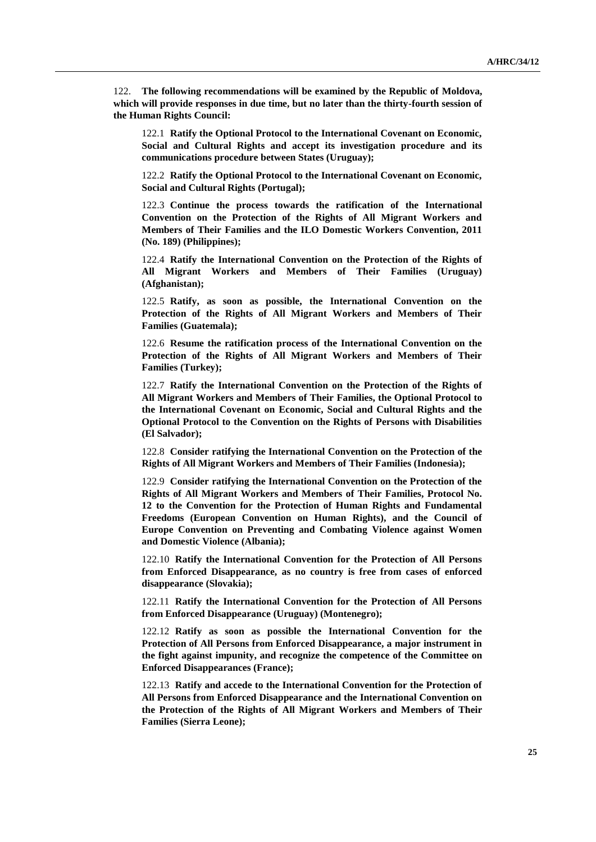122. **The following recommendations will be examined by the Republic of Moldova, which will provide responses in due time, but no later than the thirty-fourth session of the Human Rights Council:**

122.1 **Ratify the Optional Protocol to the International Covenant on Economic, Social and Cultural Rights and accept its investigation procedure and its communications procedure between States (Uruguay);**

122.2 **Ratify the Optional Protocol to the International Covenant on Economic, Social and Cultural Rights (Portugal);**

122.3 **Continue the process towards the ratification of the International Convention on the Protection of the Rights of All Migrant Workers and Members of Their Families and the ILO Domestic Workers Convention, 2011 (No. 189) (Philippines);**

122.4 **Ratify the International Convention on the Protection of the Rights of All Migrant Workers and Members of Their Families (Uruguay) (Afghanistan);**

122.5 **Ratify, as soon as possible, the International Convention on the Protection of the Rights of All Migrant Workers and Members of Their Families (Guatemala);**

122.6 **Resume the ratification process of the International Convention on the Protection of the Rights of All Migrant Workers and Members of Their Families (Turkey);**

122.7 **Ratify the International Convention on the Protection of the Rights of All Migrant Workers and Members of Their Families, the Optional Protocol to the International Covenant on Economic, Social and Cultural Rights and the Optional Protocol to the Convention on the Rights of Persons with Disabilities (El Salvador);**

122.8 **Consider ratifying the International Convention on the Protection of the Rights of All Migrant Workers and Members of Their Families (Indonesia);**

122.9 **Consider ratifying the International Convention on the Protection of the Rights of All Migrant Workers and Members of Their Families, Protocol No. 12 to the Convention for the Protection of Human Rights and Fundamental Freedoms (European Convention on Human Rights), and the Council of Europe Convention on Preventing and Combating Violence against Women and Domestic Violence (Albania);**

122.10 **Ratify the International Convention for the Protection of All Persons from Enforced Disappearance, as no country is free from cases of enforced disappearance (Slovakia);**

122.11 **Ratify the International Convention for the Protection of All Persons from Enforced Disappearance (Uruguay) (Montenegro);**

122.12 **Ratify as soon as possible the International Convention for the Protection of All Persons from Enforced Disappearance, a major instrument in the fight against impunity, and recognize the competence of the Committee on Enforced Disappearances (France);**

122.13 **Ratify and accede to the International Convention for the Protection of All Persons from Enforced Disappearance and the International Convention on the Protection of the Rights of All Migrant Workers and Members of Their Families (Sierra Leone);**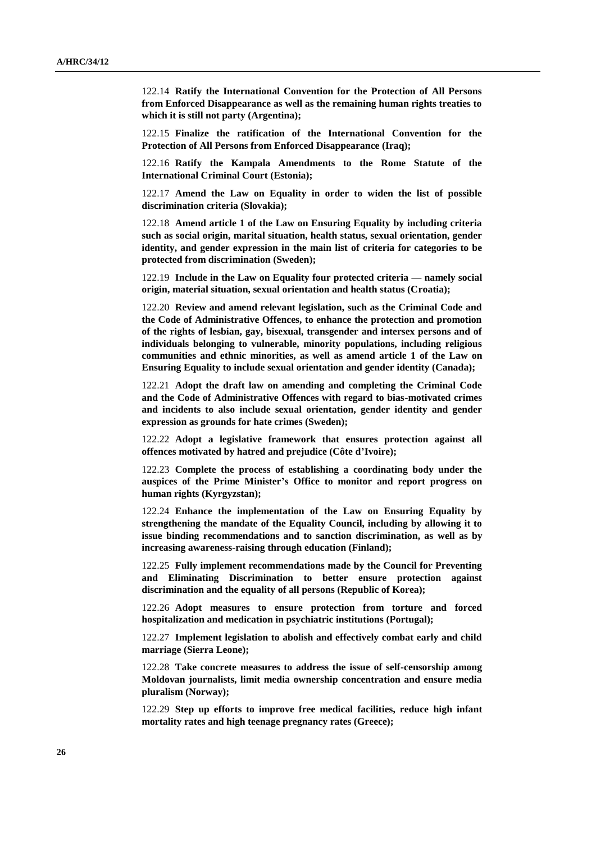122.14 **Ratify the International Convention for the Protection of All Persons from Enforced Disappearance as well as the remaining human rights treaties to which it is still not party (Argentina);**

122.15 **Finalize the ratification of the International Convention for the Protection of All Persons from Enforced Disappearance (Iraq);**

122.16 **Ratify the Kampala Amendments to the Rome Statute of the International Criminal Court (Estonia);**

122.17 **Amend the Law on Equality in order to widen the list of possible discrimination criteria (Slovakia);**

122.18 **Amend article 1 of the Law on Ensuring Equality by including criteria such as social origin, marital situation, health status, sexual orientation, gender identity, and gender expression in the main list of criteria for categories to be protected from discrimination (Sweden);**

122.19 **Include in the Law on Equality four protected criteria — namely social origin, material situation, sexual orientation and health status (Croatia);**

122.20 **Review and amend relevant legislation, such as the Criminal Code and the Code of Administrative Offences, to enhance the protection and promotion of the rights of lesbian, gay, bisexual, transgender and intersex persons and of individuals belonging to vulnerable, minority populations, including religious communities and ethnic minorities, as well as amend article 1 of the Law on Ensuring Equality to include sexual orientation and gender identity (Canada);**

122.21 **Adopt the draft law on amending and completing the Criminal Code and the Code of Administrative Offences with regard to bias-motivated crimes and incidents to also include sexual orientation, gender identity and gender expression as grounds for hate crimes (Sweden);**

122.22 **Adopt a legislative framework that ensures protection against all offences motivated by hatred and prejudice (Côte d'Ivoire);**

122.23 **Complete the process of establishing a coordinating body under the auspices of the Prime Minister's Office to monitor and report progress on human rights (Kyrgyzstan);**

122.24 **Enhance the implementation of the Law on Ensuring Equality by strengthening the mandate of the Equality Council, including by allowing it to issue binding recommendations and to sanction discrimination, as well as by increasing awareness-raising through education (Finland);**

122.25 **Fully implement recommendations made by the Council for Preventing and Eliminating Discrimination to better ensure protection against discrimination and the equality of all persons (Republic of Korea);**

122.26 **Adopt measures to ensure protection from torture and forced hospitalization and medication in psychiatric institutions (Portugal);**

122.27 **Implement legislation to abolish and effectively combat early and child marriage (Sierra Leone);**

122.28 **Take concrete measures to address the issue of self-censorship among Moldovan journalists, limit media ownership concentration and ensure media pluralism (Norway);**

122.29 **Step up efforts to improve free medical facilities, reduce high infant mortality rates and high teenage pregnancy rates (Greece);**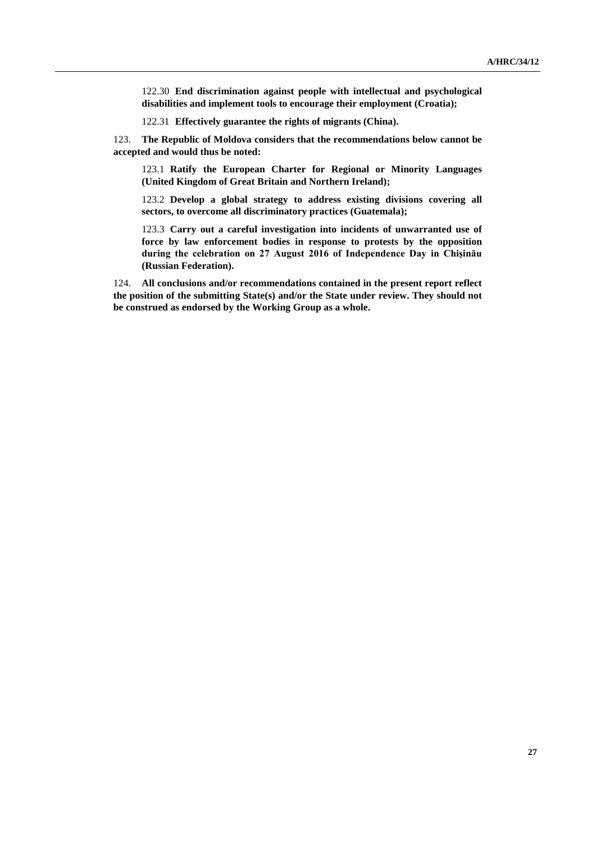122.30 **End discrimination against people with intellectual and psychological disabilities and implement tools to encourage their employment (Croatia);**

122.31 **Effectively guarantee the rights of migrants (China).**

123. **The Republic of Moldova considers that the recommendations below cannot be accepted and would thus be noted:**

123.1 **Ratify the European Charter for Regional or Minority Languages (United Kingdom of Great Britain and Northern Ireland);**

123.2 **Develop a global strategy to address existing divisions covering all sectors, to overcome all discriminatory practices (Guatemala);**

123.3 **Carry out a careful investigation into incidents of unwarranted use of force by law enforcement bodies in response to protests by the opposition during the celebration on 27 August 2016 of Independence Day in Chișinău (Russian Federation).**

124. **All conclusions and/or recommendations contained in the present report reflect the position of the submitting State(s) and/or the State under review. They should not be construed as endorsed by the Working Group as a whole.**